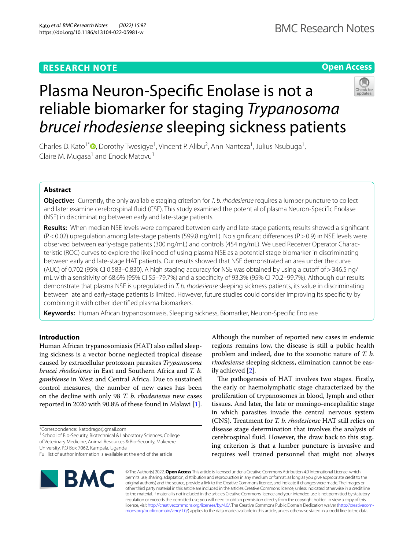# **RESEARCH NOTE**

**Open Access**

# Plasma Neuron-Specifc Enolase is not a reliable biomarker for staging *Trypanosoma brucei rhodesiense* sleeping sickness patients

Charles D. Kato<sup>1\*</sup><sup>®</sup>[,](http://orcid.org/0000-0003-3160-6657) Dorothy Twesigye<sup>1</sup>, Vincent P. Alibu<sup>2</sup>, Ann Nanteza<sup>1</sup>, Julius Nsubuga<sup>1</sup>, Claire M. Mugasa<sup>1</sup> and Enock Matovu<sup>1</sup>

# **Abstract**

**Objective:** Currently, the only available staging criterion for *T. b. rhodesiense* requires a lumber puncture to collect and later examine cerebrospinal fuid (CSF). This study examined the potential of plasma Neuron-Specifc Enolase (NSE) in discriminating between early and late-stage patients.

**Results:** When median NSE levels were compared between early and late-stage patients, results showed a signifcant (P<0.02) upregulation among late-stage patients (599.8 ng/mL). No signifcant diferences (P>0.9) in NSE levels were observed between early-stage patients (300 ng/mL) and controls (454 ng/mL). We used Receiver Operator Characteristic (ROC) curves to explore the likelihood of using plasma NSE as a potential stage biomarker in discriminating between early and late-stage HAT patients. Our results showed that NSE demonstrated an area under the curve (AUC) of 0.702 (95% CI 0.583–0.830). A high staging accuracy for NSE was obtained by using a cutof of>346.5 ng/ mL with a sensitivity of 68.6% (95% CI 55–79.7%) and a specifcity of 93.3% (95% CI 70.2–99.7%). Although our results demonstrate that plasma NSE is upregulated in *T. b. rhodesiense* sleeping sickness patients, its value in discriminating between late and early-stage patients is limited. However, future studies could consider improving its specifcity by combining it with other identifed plasma biomarkers.

**Keywords:** Human African trypanosomiasis, Sleeping sickness, Biomarker, Neuron-Specifc Enolase

# **Introduction**

Human African trypanosomiasis (HAT) also called sleeping sickness is a vector borne neglected tropical disease caused by extracellular protozoan parasites *Trypanosoma brucei rhodesiense* in East and Southern Africa and *T. b. gambiense* in West and Central Africa. Due to sustained control measures, the number of new cases has been on the decline with only 98 *T. b. rhodesiense* new cases reported in 2020 with 90.8% of these found in Malawi [\[1](#page-4-0)].

\*Correspondence: katodrago@gmail.com

<sup>1</sup> School of Bio-Security, Biotechnical & Laboratory Sciences, College of Veterinary Medicine, Animal Resources & Bio-Security, Makerere University, P.O Box 7062, Kampala, Uganda

**BMC** 

Although the number of reported new cases in endemic regions remains low, the disease is still a public health problem and indeed, due to the zoonotic nature of *T. b. rhodesiense* sleeping sickness, elimination cannot be easily achieved [\[2](#page-4-1)].

The pathogenesis of HAT involves two stages. Firstly, the early or haemolymphatic stage characterized by the proliferation of trypanosomes in blood, lymph and other tissues. And later, the late or meningo-encephalitic stage in which parasites invade the central nervous system (CNS). Treatment for *T. b. rhodesiense* HAT still relies on disease stage determination that involves the analysis of cerebrospinal fuid. However, the draw back to this staging criterion is that a lumber puncture is invasive and requires well trained personnel that might not always

© The Author(s) 2022. **Open Access** This article is licensed under a Creative Commons Attribution 4.0 International License, which permits use, sharing, adaptation, distribution and reproduction in any medium or format, as long as you give appropriate credit to the original author(s) and the source, provide a link to the Creative Commons licence, and indicate if changes were made. The images or other third party material in this article are included in the article's Creative Commons licence, unless indicated otherwise in a credit line to the material. If material is not included in the article's Creative Commons licence and your intended use is not permitted by statutory regulation or exceeds the permitted use, you will need to obtain permission directly from the copyright holder. To view a copy of this licence, visit [http://creativecommons.org/licenses/by/4.0/.](http://creativecommons.org/licenses/by/4.0/) The Creative Commons Public Domain Dedication waiver ([http://creativecom](http://creativecommons.org/publicdomain/zero/1.0/)[mons.org/publicdomain/zero/1.0/\)](http://creativecommons.org/publicdomain/zero/1.0/) applies to the data made available in this article, unless otherwise stated in a credit line to the data.

Full list of author information is available at the end of the article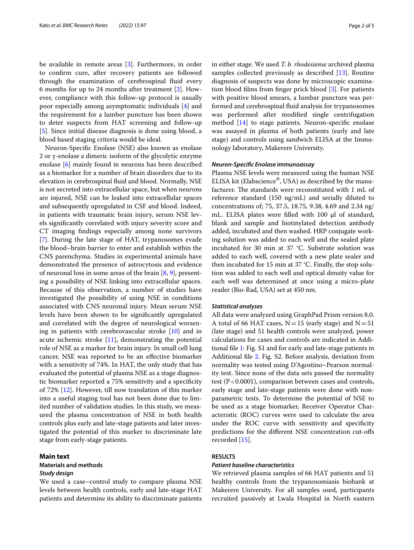be available in remote areas [\[3](#page-4-2)]. Furthermore, in order to confrm cure, after recovery patients are followed through the examination of cerebrospinal fuid every 6 months for up to 24 months after treatment [[2\]](#page-4-1). However, compliance with this follow-up protocol is usually poor especially among asymptomatic individuals [\[4](#page-4-3)] and the requirement for a lumber puncture has been shown to deter suspects from HAT screening and follow-up [[5\]](#page-4-4). Since initial disease diagnosis is done using blood, a blood based staging criteria would be ideal.

Neuron-Specifc Enolase (NSE) also known as enolase 2 or γ-enolase a dimeric isoform of the glycolytic enzyme enolase [[6\]](#page-4-5) mainly found in neurons has been described as a biomarker for a number of brain disorders due to its elevation in cerebrospinal fuid and blood. Normally, NSE is not secreted into extracellular space, but when neurons are injured, NSE can be leaked into extracellular spaces and subsequently upregulated in CSF and blood. Indeed, in patients with traumatic brain injury, serum NSE levels signifcantly correlated with injury severity score and CT imaging fndings especially among none survivors [[7\]](#page-4-6). During the late stage of HAT, trypanosomes evade the blood–brain barrier to enter and establish within the CNS parenchyma. Studies in experimental animals have demonstrated the presence of astrocytosis and evidence of neuronal loss in some areas of the brain  $[8, 9]$  $[8, 9]$  $[8, 9]$  $[8, 9]$ , presenting a possibility of NSE linking into extracellular spaces. Because of this observation, a number of studies have investigated the possibility of using NSE in conditions associated with CNS neuronal injury. Mean serum NSE levels have been shown to be signifcantly upregulated and correlated with the degree of neurological worsening in patients with cerebrovascular stroke [\[10\]](#page-4-9) and in acute ischemic stroke [[11](#page-4-10)], demonstrating the potential role of NSE as a marker for brain injury. In small cell lung cancer, NSE was reported to be an efective biomarker with a sensitivity of 74%. In HAT, the only study that has evaluated the potential of plasma NSE as a stage diagnostic biomarker reported a 75% sensitivity and a specifcity of 72% [[12](#page-4-11)]. However, till now translation of this marker into a useful staging tool has not been done due to limited number of validation studies. In this study, we measured the plasma concentration of NSE in both health controls plus early and late-stage patients and later investigated the potential of this marker to discriminate late stage from early-stage patients.

## **Main text**

# **Materials and methods** *Study design*

We used a case–control study to compare plasma NSE levels between health controls, early and late-stage HAT patients and determine its ability to discriminate patients in either stage. We used *T. b. rhodesiense* archived plasma samples collected previously as described [\[13\]](#page-4-12). Routine diagnosis of suspects was done by microscopic examination blood flms from fnger prick blood [\[3](#page-4-2)]. For patients with positive blood smears, a lumbar puncture was performed and cerebrospinal fuid analysis for trypanosomes was performed after modifed single centrifugation method [[14\]](#page-4-13) to stage patients. Neuron-specifc enolase was assayed in plasma of both patients (early and late stage) and controls using sandwich ELISA at the Immunology laboratory, Makerere University.

## *Neuron‑Specifc Enolase immunoassay*

Plasma NSE levels were measured using the human NSE ELISA kit (Elabscience<sup>®</sup>, USA) as described by the manufacturer. The standards were reconstituted with 1 mL of reference standard (150 ng/mL) and serially diluted to concentrations of; 75, 37.5, 18.75, 9.38, 4.69 and 2.34 ng/ mL. ELISA plates were filled with  $100 \mu l$  of standard, blank and sample and biotinylated detection antibody added, incubated and then washed. HRP conjugate working solution was added to each well and the sealed plate incubated for 30 min at 37 °C. Substrate solution was added to each well, covered with a new plate sealer and then incubated for 15 min at 37 °C. Finally, the stop solution was added to each well and optical density value for each well was determined at once using a micro-plate reader (Bio-Rad, USA) set at 450 nm.

## *Statistical analyses*

All data were analyzed using GraphPad Prism version 8.0. A total of 66 HAT cases,  $N=15$  (early stage) and  $N=51$ (late stage) and 51 health controls were analyzed, power calculations for cases and controls are indicated in Additional fle [1:](#page-3-0) Fig. S1 and for early and late-stage patients in Additional fle [2.](#page-3-1) Fig. S2. Before analysis, deviation from normality was tested using D'Agostino–Pearson normality test. Since none of the data sets passed the normality test ( $P < 0.0001$ ), comparison between cases and controls, early stage and late-stage patients were done with nonparametric tests. To determine the potential of NSE to be used as a stage biomarker, Receiver Operator Characteristic (ROC) curves were used to calculate the area under the ROC curve with sensitivity and specifcity predictions for the diferent NSE concentration cut-ofs recorded [[15\]](#page-4-14).

# **RESULTS**

## *Patient baseline characteristics*

We retrieved plasma samples of 66 HAT patients and 51 healthy controls from the trypanosomiasis biobank at Makerere University. For all samples used, participants recruited passively at Lwala Hospital in North eastern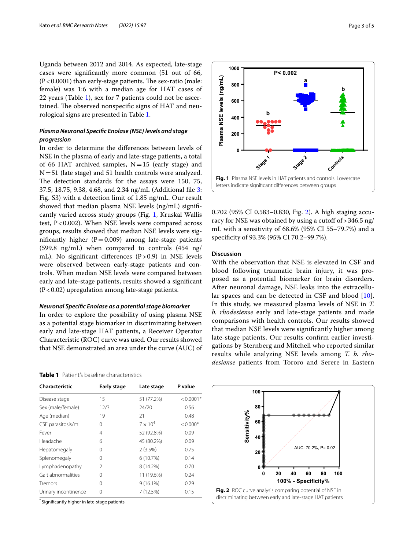Uganda between 2012 and 2014. As expected, late-stage cases were signifcantly more common (51 out of 66,  $(P<0.0001)$  than early-stage patients. The sex-ratio (male: female) was 1:6 with a median age for HAT cases of 22 years (Table [1](#page-2-0)), sex for 7 patients could not be ascertained. The observed nonspecific signs of HAT and neurological signs are presented in Table [1.](#page-2-0)

# *Plasma Neuronal Specifc Enolase (NSE) levels and stage progression*

In order to determine the diferences between levels of NSE in the plasma of early and late-stage patients, a total of 66 HAT archived samples,  $N=15$  (early stage) and  $N=51$  (late stage) and 51 health controls were analyzed. The detection standards for the assays were 150, 75, 37.5, 18.75, 9.38, 4.68, and 2.34 ng/mL (Additional fle [3](#page-3-2): Fig. S3) with a detection limit of 1.85 ng/mL. Our result showed that median plasma NSE levels (ng/mL) signifcantly varied across study groups (Fig. [1,](#page-2-1) Kruskal Wallis test,  $P < 0.002$ ). When NSE levels were compared across groups, results showed that median NSE levels were significantly higher  $(P=0.009)$  among late-stage patients (599.8 ng/mL) when compared to controls (454 ng/ mL). No significant differences  $(P>0.9)$  in NSE levels were observed between early-stage patients and controls. When median NSE levels were compared between early and late-stage patients, results showed a signifcant  $(P<0.02)$  upregulation among late-stage patients.

## *Neuronal Specifc Enolase as a potential stage biomarker*

In order to explore the possibility of using plasma NSE as a potential stage biomarker in discriminating between early and late-stage HAT patients, a Receiver Operator Characteristic (ROC) curve was used. Our results showed that NSE demonstrated an area under the curve (AUC) of

#### <span id="page-2-0"></span>**Table 1** Patient's baseline characteristics

| Characteristic       | Early stage    | Late stage      | P value     |
|----------------------|----------------|-----------------|-------------|
| Disease stage        | 15             | 51 (77.2%)      | $< 0.0001*$ |
| Sex (male/female)    | 12/3           | 24/20           | 0.56        |
| Age (median)         | 19             | 21              | 0.48        |
| CSF parasitosis/mL   | 0              | $7 \times 10^4$ | $< 0.000*$  |
| Fever                | 4              | 52 (92.8%)      | 0.09        |
| Headache             | 6              | 45 (80.2%)      | 0.09        |
| Hepatomegaly         | 0              | 2(3.5%)         | 0.75        |
| Splenomegaly         | 0              | 6(10.7%)        | 0.14        |
| Lymphadenopathy      | $\mathfrak{D}$ | 8 (14.2%)       | 0.70        |
| Gait abnormalities   | 0              | 11 (19.6%)      | 0.24        |
| Tremors              | Ω              | $9(16.1\%)$     | 0.29        |
| Urinary incontinence | 0              | 7(12.5%)        | 0.15        |

\* Signifcantly higher in late-stage patients



<span id="page-2-1"></span>0.702 (95% CI 0.583–0.830, Fig. [2](#page-2-2)). A high staging accuracy for NSE was obtained by using a cutoff of > 346.5 ng/ mL with a sensitivity of 68.6% (95% CI 55–79.7%) and a specifcity of 93.3% (95% CI 70.2–99.7%).

## **Discussion**

With the observation that NSE is elevated in CSF and blood following traumatic brain injury, it was proposed as a potential biomarker for brain disorders. After neuronal damage, NSE leaks into the extracellular spaces and can be detected in CSF and blood [[10](#page-4-9)]. In this study, we measured plasma levels of NSE in *T. b. rhodesiense* early and late-stage patients and made comparisons with health controls. Our results showed that median NSE levels were signifcantly higher among late-stage patients. Our results confrm earlier investigations by Sternberg and Mitchell who reported similar results while analyzing NSE levels among *T. b. rhodesiense* patients from Tororo and Serere in Eastern

<span id="page-2-2"></span>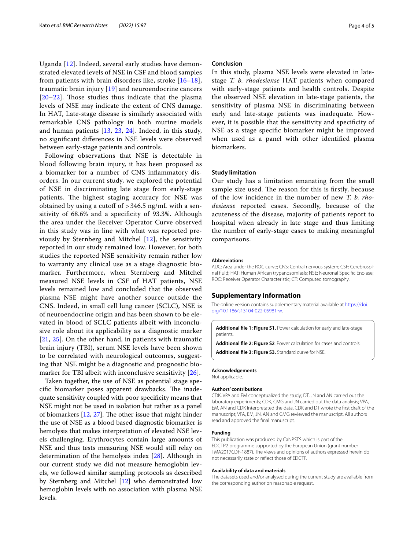Uganda [\[12](#page-4-11)]. Indeed, several early studies have demonstrated elevated levels of NSE in CSF and blood samples from patients with brain disorders like, stroke  $[16-18]$  $[16-18]$ , traumatic brain injury [\[19](#page-4-17)] and neuroendocrine cancers  $[20-22]$  $[20-22]$  $[20-22]$ . Those studies thus indicate that the plasma levels of NSE may indicate the extent of CNS damage. In HAT, Late-stage disease is similarly associated with remarkable CNS pathology in both murine models and human patients [[13](#page-4-12), [23](#page-4-20), [24\]](#page-4-21). Indeed, in this study, no signifcant diferences in NSE levels were observed between early-stage patients and controls.

Following observations that NSE is detectable in blood following brain injury, it has been proposed as a biomarker for a number of CNS infammatory disorders. In our current study, we explored the potential of NSE in discriminating late stage from early-stage patients. The highest staging accuracy for NSE was obtained by using a cutoff of  $>$  346.5 ng/mL with a sensitivity of 68.6% and a specifcity of 93.3%. Although the area under the Receiver Operator Curve observed in this study was in line with what was reported previously by Sternberg and Mitchel [\[12](#page-4-11)], the sensitivity reported in our study remained low. However, for both studies the reported NSE sensitivity remain rather low to warranty any clinical use as a stage diagnostic biomarker. Furthermore, when Sternberg and Mitchel measured NSE levels in CSF of HAT patients, NSE levels remained low and concluded that the observed plasma NSE might have another source outside the CNS. Indeed, in small cell lung cancer (SCLC), NSE is of neuroendocrine origin and has been shown to be elevated in blood of SCLC patients albeit with inconclusive role about its applicability as a diagnostic marker [[21](#page-4-22), [25\]](#page-4-23). On the other hand, in patients with traumatic brain injury (TBI), serum NSE levels have been shown to be correlated with neurological outcomes, suggesting that NSE might be a diagnostic and prognostic biomarker for TBI albeit with inconclusive sensitivity [[26](#page-4-24)].

Taken together, the use of NSE as potential stage specific biomarker poses apparent drawbacks. The inadequate sensitivity coupled with poor specifcity means that NSE might not be used in isolation but rather as a panel of biomarkers  $[12, 27]$  $[12, 27]$  $[12, 27]$  $[12, 27]$  $[12, 27]$ . The other issue that might hinder the use of NSE as a blood based diagnostic biomarker is hemolysis that makes interpretation of elevated NSE levels challenging. Erythrocytes contain large amounts of NSE and thus tests measuring NSE would still relay on determination of the hemolysis index [\[28\]](#page-4-26). Although in our current study we did not measure hemoglobin levels, we followed similar sampling protocols as described by Sternberg and Mitchel [[12\]](#page-4-11) who demonstrated low hemoglobin levels with no association with plasma NSE levels.

## **Conclusion**

In this study, plasma NSE levels were elevated in latestage *T. b. rhodesiense* HAT patients when compared with early-stage patients and health controls. Despite the observed NSE elevation in late-stage patients, the sensitivity of plasma NSE in discriminating between early and late-stage patients was inadequate. However, it is possible that the sensitivity and specifcity of NSE as a stage specifc biomarker might be improved when used as a panel with other identifed plasma biomarkers.

## **Study limitation**

Our study has a limitation emanating from the small sample size used. The reason for this is firstly, because of the low incidence in the number of new *T. b. rhodesiense* reported cases. Secondly, because of the acuteness of the disease, majority of patients report to hospital when already in late stage and thus limiting the number of early-stage cases to making meaningful comparisons.

#### **Abbreviations**

AUC: Area under the ROC curve; CNS: Central nervous system; CSF: Cerebrospinal fuid; HAT: Human African trypanosomiasis; NSE: Neuronal Specifc Enolase; ROC: Receiver Operator Characteristic; CT: Computed tomography.

## **Supplementary Information**

The online version contains supplementary material available at [https://doi.](https://doi.org/10.1186/s13104-022-05981-w) [org/10.1186/s13104-022-05981-w.](https://doi.org/10.1186/s13104-022-05981-w)

<span id="page-3-1"></span><span id="page-3-0"></span>**Additional fle 1: Figure S1.** Power calculation for early and late-stage patients

<span id="page-3-2"></span>**Additional fle 2: Figure S2**. Power calculation for cases and controls. **Additional fle 3: Figure S3.** Standard curve for NSE.

# **Acknowledgements**

Not applicable.

#### **Authors' contributions**

CDK, VPA and EM conceptualized the study; DT, JN and AN carried out the laboratory experiments; CDK, CMG and JN carried out the data analysis; VPA, EM, AN and CDK interpretated the data. CDK and DT wrote the frst draft of the manuscript; VPA, EM, JN, AN and CMG reviewed the manuscript. All authors read and approved the fnal manuscript.

#### **Funding**

This publication was produced by CaNPSTS which is part of the EDCTP2 programme supported by the European Union (grant number TMA2017CDF-1887). The views and opinions of authors expressed herein do not necessarily state or refect those of EDCTP.

#### **Availability of data and materials**

The datasets used and/or analysed during the current study are available from the corresponding author on reasonable request.